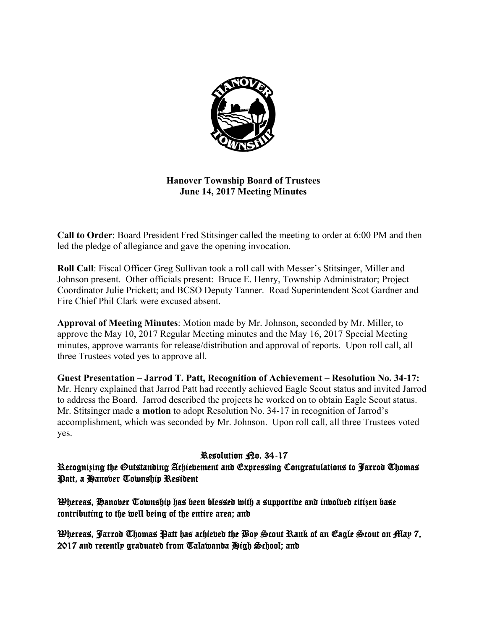

# **Hanover Township Board of Trustees June 14, 2017 Meeting Minutes**

**Call to Order**: Board President Fred Stitsinger called the meeting to order at 6:00 PM and then led the pledge of allegiance and gave the opening invocation.

**Roll Call**: Fiscal Officer Greg Sullivan took a roll call with Messer's Stitsinger, Miller and Johnson present. Other officials present: Bruce E. Henry, Township Administrator; Project Coordinator Julie Prickett; and BCSO Deputy Tanner. Road Superintendent Scot Gardner and Fire Chief Phil Clark were excused absent.

**Approval of Meeting Minutes**: Motion made by Mr. Johnson, seconded by Mr. Miller, to approve the May 10, 2017 Regular Meeting minutes and the May 16, 2017 Special Meeting minutes, approve warrants for release/distribution and approval of reports. Upon roll call, all three Trustees voted yes to approve all.

**Guest Presentation – Jarrod T. Patt, Recognition of Achievement – Resolution No. 34-17:**  Mr. Henry explained that Jarrod Patt had recently achieved Eagle Scout status and invited Jarrod to address the Board. Jarrod described the projects he worked on to obtain Eagle Scout status. Mr. Stitsinger made a **motion** to adopt Resolution No. 34-17 in recognition of Jarrod's accomplishment, which was seconded by Mr. Johnson. Upon roll call, all three Trustees voted yes.

# Resolution <sub>Ro.</sub> 34-17

Recognizing the Outstanding Achievement and Expressing Congratulations to Jarrod Thomas Patt, a Hanover Township Resident

Whereas, Hanover Township has been blessed with a supportive and involved citizen base contributing to the well being of the entire area; and

Whereas, Jarrod Thomas Patt has achieved the Boy Scout Rank of an Eagle Scout on May 7, 2017 and recently graduated from Talawanda High School; and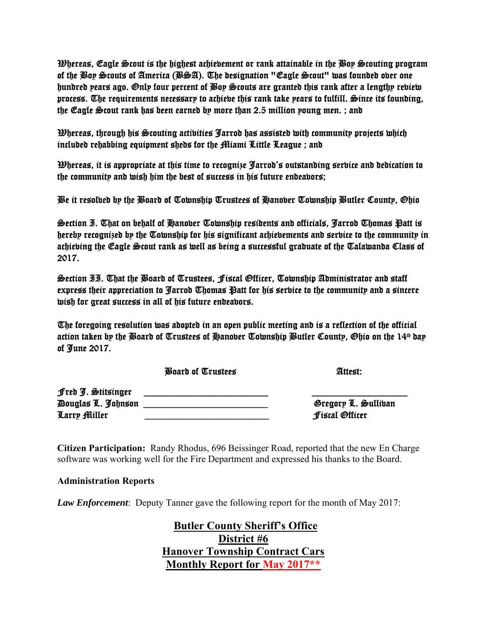Whereas, Eagle Scout is the highest achievement or rank attainable in the Boy Scouting program of the Boy Scouts of America (BSA). The designation "Eagle Scout" was founded over one hundred years ago. Only four percent of Boy Scouts are granted this rank after a lengthy review process. The requirements necessary to achieve this rank take years to fulfill. Since its founding, the Eagle Scout rank has been earned by more than 2.5 million young men. ; and

Whereas, through his Scouting activities Jarrod has assisted with community projects which included rehabbing equipment sheds for the Miami Little League ; and

Whereas, it is appropriate at this time to recognize Jarrod's outstanding service and dedication to the community and wish him the best of success in his future endeavors;

Be it resolved by the Board of Township Trustees of Hanover Township Butler County, Ohio

Section I. That on behalf of Hanover Township residents and officials, Jarrod Thomas Patt is hereby recognized by the Township for his significant achievements and service to the community in achieving the Eagle Scout rank as well as being a successful graduate of the Talawanda Class of 2017.

Section II. That the Board of Trustees, Fiscal Officer, Township Administrator and staff express their appreciation to Jarrod Thomas Patt for his service to the community and a sincere wish for great success in all of his future endeavors.

The foregoing resolution was adopted in an open public meeting and is a reflection of the official action taken by the Board of Trustees of Hanober Township Butler County, Ohio on the  $14<sup>th</sup>$  day of June 2017.

Board of Trustees Attest: 40

|                                                          | $\sim$ outs of $\sim$ as $\sim$ | $\sim$                                       |
|----------------------------------------------------------|---------------------------------|----------------------------------------------|
| Fred J. Stitsinger<br>Douglas L. Johnson<br>Larry Miller |                                 | Gregory L. Sulliban<br><b>fistal Officer</b> |
|                                                          |                                 |                                              |

**Citizen Participation:** Randy Rhodus, 696 Beissinger Road, reported that the new En Charge software was working well for the Fire Department and expressed his thanks to the Board.

# **Administration Reports**

*Law Enforcement*: Deputy Tanner gave the following report for the month of May 2017:

 **Butler County Sheriff's Office District #6 Hanover Township Contract Cars Monthly Report for May 2017\*\***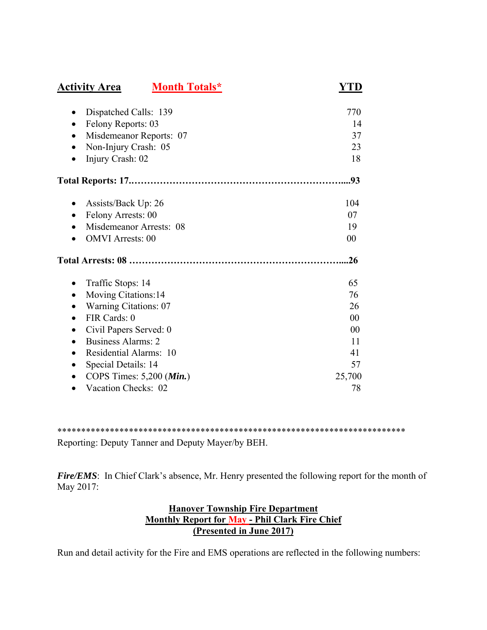| <b>Activity Area</b>                      | <b>Month Totals*</b> | YTD    |
|-------------------------------------------|----------------------|--------|
| Dispatched Calls: 139                     |                      | 770    |
| Felony Reports: 03<br>$\bullet$           |                      | 14     |
| Misdemeanor Reports: 07<br>$\bullet$      |                      | 37     |
| Non-Injury Crash: 05<br>$\bullet$         |                      | 23     |
| Injury Crash: 02                          |                      | 18     |
|                                           |                      | 93     |
| Assists/Back Up: 26<br>$\bullet$          |                      | 104    |
| Felony Arrests: 00<br>$\bullet$           |                      | 07     |
| Misdemeanor Arrests: 08                   |                      | 19     |
| <b>OMVI</b> Arrests: 00                   |                      | 00     |
|                                           |                      | .26    |
| Traffic Stops: 14                         |                      | 65     |
| Moving Citations:14                       |                      | 76     |
| <b>Warning Citations: 07</b><br>$\bullet$ |                      | 26     |
| FIR Cards: 0<br>$\bullet$                 |                      | 00     |
| Civil Papers Served: 0                    |                      | 00     |
| Business Alarms: 2                        |                      | 11     |
| Residential Alarms: 10                    |                      | 41     |
| Special Details: 14<br>$\bullet$          |                      | 57     |
| COPS Times: $5,200$ ( <i>Min.</i> )       |                      | 25,700 |
| Vacation Checks: 02                       |                      | 78     |

\*\*\*\*\*\*\*\*\*\*\*\*\*\*\*\*\*\*\*\*\*\*\*\*\*\*\*\*\*\*\*\*\*\*\*\*\*\*\*\*\*\*\*\*\*\*\*\*\*\*\*\*\*\*\*\*\*\*\*\*\*\*\*\*\*\*\*\*\*\*\*\*\*

Reporting: Deputy Tanner and Deputy Mayer/by BEH.

*Fire/EMS*: In Chief Clark's absence, Mr. Henry presented the following report for the month of May 2017:

# **Hanover Township Fire Department Monthly Report for May - Phil Clark Fire Chief (Presented in June 2017)**

Run and detail activity for the Fire and EMS operations are reflected in the following numbers: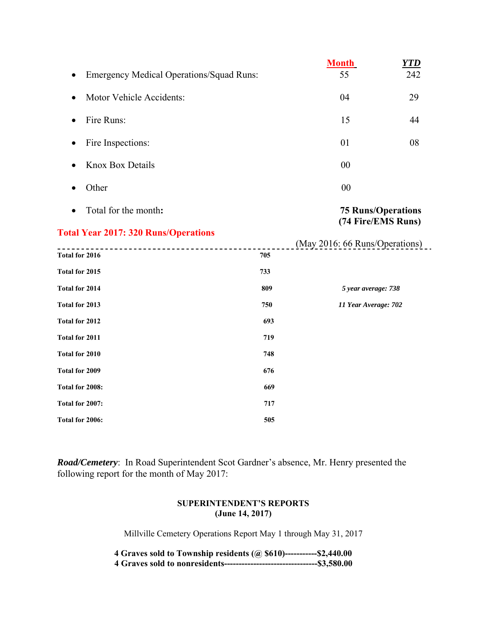|                                                 |     | <b>Month</b>                                    | <b>YTD</b> |
|-------------------------------------------------|-----|-------------------------------------------------|------------|
| <b>Emergency Medical Operations/Squad Runs:</b> |     | 55                                              | 242        |
| Motor Vehicle Accidents:<br>$\bullet$           |     | 04                                              | 29         |
| Fire Runs:<br>$\bullet$                         |     | 15                                              | 44         |
| Fire Inspections:                               |     | 01                                              | 08         |
| <b>Knox Box Details</b>                         |     | 00                                              |            |
| Other                                           |     | 00                                              |            |
| Total for the month:                            |     | <b>75 Runs/Operations</b><br>(74 Fire/EMS Runs) |            |
| <b>Total Year 2017: 320 Runs/Operations</b>     |     |                                                 |            |
|                                                 |     | (May 2016: 66 Runs/Operations)                  |            |
| Total for 2016                                  | 705 |                                                 |            |
| Total for 2015                                  | 733 |                                                 |            |
| Total for 2014                                  | 809 | 5 year average: 738                             |            |
| Total for 2013                                  | 750 | 11 Year Average: 702                            |            |
| Total for 2012                                  | 693 |                                                 |            |
| Total for 2011                                  | 719 |                                                 |            |
| Total for 2010                                  | 748 |                                                 |            |
| Total for 2009                                  | 676 |                                                 |            |
| Total for 2008:                                 | 669 |                                                 |            |
| Total for 2007:                                 | 717 |                                                 |            |
| Total for 2006:                                 | 505 |                                                 |            |

*Road/Cemetery*: In Road Superintendent Scot Gardner's absence, Mr. Henry presented the following report for the month of May 2017:

### **SUPERINTENDENT'S REPORTS (June 14, 2017)**

Millville Cemetery Operations Report May 1 through May 31, 2017

| 4 Graves sold to Township residents $(a)$ \$610)-----------\$2,440.00 |  |
|-----------------------------------------------------------------------|--|
|                                                                       |  |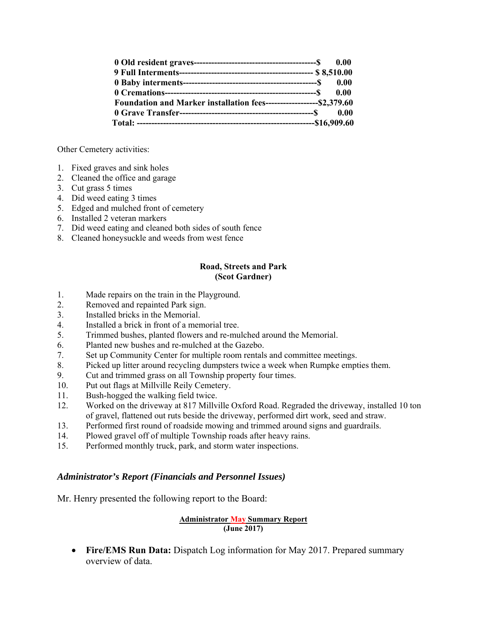|                                                                       | 0.00 |
|-----------------------------------------------------------------------|------|
|                                                                       |      |
|                                                                       | 0.00 |
|                                                                       |      |
| Foundation and Marker installation fees--------------------\$2,379.60 |      |
|                                                                       |      |
|                                                                       |      |

Other Cemetery activities:

- 1. Fixed graves and sink holes
- 2. Cleaned the office and garage
- 3. Cut grass 5 times
- 4. Did weed eating 3 times
- 5. Edged and mulched front of cemetery
- 6. Installed 2 veteran markers
- 7. Did weed eating and cleaned both sides of south fence
- 8. Cleaned honeysuckle and weeds from west fence

### **Road, Streets and Park (Scot Gardner)**

- 1. Made repairs on the train in the Playground.
- 2. Removed and repainted Park sign.
- 3. Installed bricks in the Memorial.
- 4. Installed a brick in front of a memorial tree.
- 5. Trimmed bushes, planted flowers and re-mulched around the Memorial.
- 6. Planted new bushes and re-mulched at the Gazebo.
- 7. Set up Community Center for multiple room rentals and committee meetings.
- 8. Picked up litter around recycling dumpsters twice a week when Rumpke empties them.
- 9. Cut and trimmed grass on all Township property four times.
- 10. Put out flags at Millville Reily Cemetery.
- 11. Bush-hogged the walking field twice.
- 12. Worked on the driveway at 817 Millville Oxford Road. Regraded the driveway, installed 10 ton of gravel, flattened out ruts beside the driveway, performed dirt work, seed and straw.
- 13. Performed first round of roadside mowing and trimmed around signs and guardrails.
- 14. Plowed gravel off of multiple Township roads after heavy rains.
- 15. Performed monthly truck, park, and storm water inspections.

## *Administrator's Report (Financials and Personnel Issues)*

Mr. Henry presented the following report to the Board:

### **Administrator May Summary Report (June 2017)**

 **Fire/EMS Run Data:** Dispatch Log information for May 2017. Prepared summary overview of data.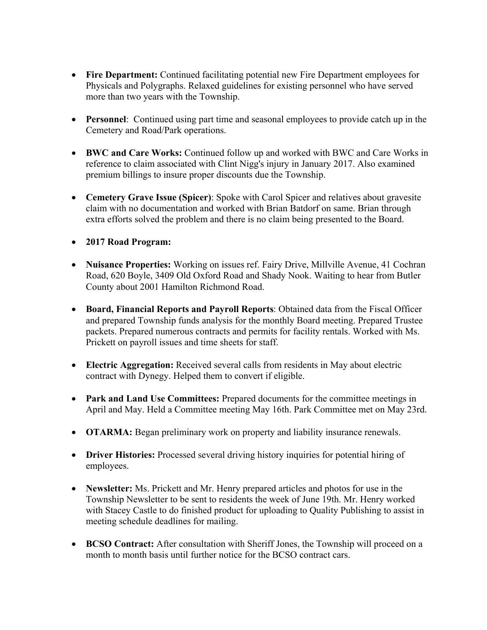- **Fire Department:** Continued facilitating potential new Fire Department employees for Physicals and Polygraphs. Relaxed guidelines for existing personnel who have served more than two years with the Township.
- **Personnel**: Continued using part time and seasonal employees to provide catch up in the Cemetery and Road/Park operations.
- **BWC and Care Works:** Continued follow up and worked with BWC and Care Works in reference to claim associated with Clint Nigg's injury in January 2017. Also examined premium billings to insure proper discounts due the Township.
- **Cemetery Grave Issue (Spicer)**: Spoke with Carol Spicer and relatives about gravesite claim with no documentation and worked with Brian Batdorf on same. Brian through extra efforts solved the problem and there is no claim being presented to the Board.
- **2017 Road Program:**
- **Nuisance Properties:** Working on issues ref. Fairy Drive, Millville Avenue, 41 Cochran Road, 620 Boyle, 3409 Old Oxford Road and Shady Nook. Waiting to hear from Butler County about 2001 Hamilton Richmond Road.
- **Board, Financial Reports and Payroll Reports**: Obtained data from the Fiscal Officer and prepared Township funds analysis for the monthly Board meeting. Prepared Trustee packets. Prepared numerous contracts and permits for facility rentals. Worked with Ms. Prickett on payroll issues and time sheets for staff.
- **Electric Aggregation:** Received several calls from residents in May about electric contract with Dynegy. Helped them to convert if eligible.
- **Park and Land Use Committees:** Prepared documents for the committee meetings in April and May. Held a Committee meeting May 16th. Park Committee met on May 23rd.
- **OTARMA:** Began preliminary work on property and liability insurance renewals.
- **Driver Histories:** Processed several driving history inquiries for potential hiring of employees.
- **Newsletter:** Ms. Prickett and Mr. Henry prepared articles and photos for use in the Township Newsletter to be sent to residents the week of June 19th. Mr. Henry worked with Stacey Castle to do finished product for uploading to Quality Publishing to assist in meeting schedule deadlines for mailing.
- **BCSO Contract:** After consultation with Sheriff Jones, the Township will proceed on a month to month basis until further notice for the BCSO contract cars.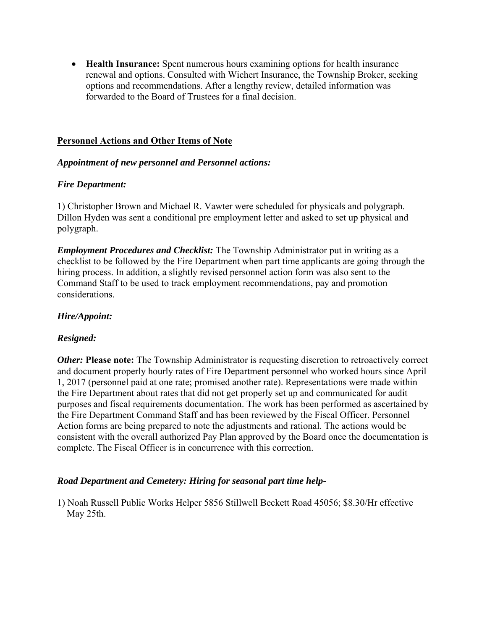**Health Insurance:** Spent numerous hours examining options for health insurance renewal and options. Consulted with Wichert Insurance, the Township Broker, seeking options and recommendations. After a lengthy review, detailed information was forwarded to the Board of Trustees for a final decision.

## **Personnel Actions and Other Items of Note**

## *Appointment of new personnel and Personnel actions:*

## *Fire Department:*

1) Christopher Brown and Michael R. Vawter were scheduled for physicals and polygraph. Dillon Hyden was sent a conditional pre employment letter and asked to set up physical and polygraph.

*Employment Procedures and Checklist:* The Township Administrator put in writing as a checklist to be followed by the Fire Department when part time applicants are going through the hiring process. In addition, a slightly revised personnel action form was also sent to the Command Staff to be used to track employment recommendations, pay and promotion considerations.

# *Hire/Appoint:*

# *Resigned:*

*Other:* **Please note:** The Township Administrator is requesting discretion to retroactively correct and document properly hourly rates of Fire Department personnel who worked hours since April 1, 2017 (personnel paid at one rate; promised another rate). Representations were made within the Fire Department about rates that did not get properly set up and communicated for audit purposes and fiscal requirements documentation. The work has been performed as ascertained by the Fire Department Command Staff and has been reviewed by the Fiscal Officer. Personnel Action forms are being prepared to note the adjustments and rational. The actions would be consistent with the overall authorized Pay Plan approved by the Board once the documentation is complete. The Fiscal Officer is in concurrence with this correction.

## *Road Department and Cemetery: Hiring for seasonal part time help-*

1) Noah Russell Public Works Helper 5856 Stillwell Beckett Road 45056; \$8.30/Hr effective May 25th.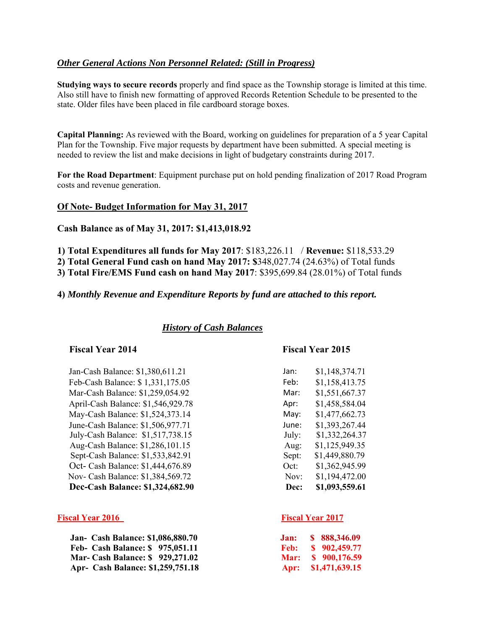## *Other General Actions Non Personnel Related: (Still in Progress)*

**Studying ways to secure records** properly and find space as the Township storage is limited at this time. Also still have to finish new formatting of approved Records Retention Schedule to be presented to the state. Older files have been placed in file cardboard storage boxes.

**Capital Planning:** As reviewed with the Board, working on guidelines for preparation of a 5 year Capital Plan for the Township. Five major requests by department have been submitted. A special meeting is needed to review the list and make decisions in light of budgetary constraints during 2017.

**For the Road Department**: Equipment purchase put on hold pending finalization of 2017 Road Program costs and revenue generation.

### **Of Note- Budget Information for May 31, 2017**

**Cash Balance as of May 31, 2017: \$1,413,018.92** 

**1) Total Expenditures all funds for May 2017**: \$183,226.11 / **Revenue:** \$118,533.29

**2) Total General Fund cash on hand May 2017: \$**348,027.74 (24.63%) of Total funds

**3) Total Fire/EMS Fund cash on hand May 2017**: \$395,699.84 (28.01%) of Total funds

**4)** *Monthly Revenue and Expenditure Reports by fund are attached to this report.* 

### *History of Cash Balances*

### **Fiscal Year 2014 Fiscal Year 2015**

Jan-Cash Balance: \$1,380,611.21 Feb-Cash Balance: \$ 1,331,175.05 Feb: \$1,158,413.75 Mar-Cash Balance: \$1,259,054.92 Mar: \$1,551,667.37 April-Cash Balance: \$1,546,929.78 May-Cash Balance: \$1,524,373.14 May: \$1,477,662.73 June-Cash Balance: \$1,506,977.71 July-Cash Balance:  $$1,517,738.15$ Aug-Cash Balance: \$1,286,101.15 Sept-Cash Balance: \$1,533,842.91 Oct- Cash Balance: \$1,444,676.89 Nov- Cash Balance: \$1,384,569.72 **Dec-Cash Balance: \$1,324,682.90** 

### **Fiscal Year 2016** Fiscal Year 2017

| <b>Jan- Cash Balance: \$1,086,880.70</b> | Jan: \$ 888,346.09  |
|------------------------------------------|---------------------|
| Feb- Cash Balance: \$975,051.11          | Feb: \$ 902,459.77  |
| <b>Mar- Cash Balance: \$929,271.02</b>   | Mar: \$ 900,176.59  |
| Apr- Cash Balance: \$1,259,751.18        | Apr: \$1,471,639.15 |

| Jan:  | \$1,148,374.71 |
|-------|----------------|
| Feb:  | \$1,158,413.75 |
| Mar:  | \$1,551,667.37 |
| Apr:  | \$1,458,584.04 |
| May:  | \$1,477,662.73 |
| June: | \$1,393,267.44 |
| July: | \$1,332,264.37 |
| Aug:  | \$1,125,949.35 |
| Sept: | \$1,449,880.79 |
| Oct:  | \$1,362,945.99 |
| Nov:  | \$1,194,472.00 |
| Dec:  | \$1,093,559.61 |
|       |                |

| Jan: | \$888,346.09   |
|------|----------------|
| Feb: | \$902,459.77   |
| Mar: | \$900,176.59   |
| Apr: | \$1,471,639.15 |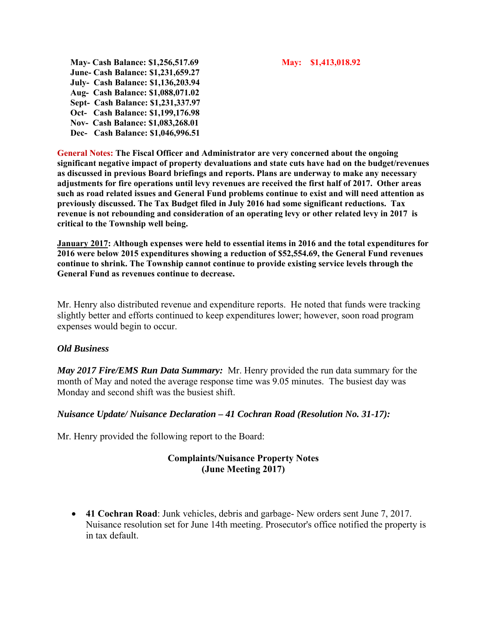**May- Cash Balance: \$1,256,517.69 May: \$1,413,018.92 June- Cash Balance: \$1,231,659.27 July- Cash Balance: \$1,136,203.94 Aug- Cash Balance: \$1,088,071.02 Sept- Cash Balance: \$1,231,337.97 Oct- Cash Balance: \$1,199,176.98 Nov- Cash Balance: \$1,083,268.01 Dec- Cash Balance: \$1,046,996.51** 

**General Notes: The Fiscal Officer and Administrator are very concerned about the ongoing significant negative impact of property devaluations and state cuts have had on the budget/revenues as discussed in previous Board briefings and reports. Plans are underway to make any necessary adjustments for fire operations until levy revenues are received the first half of 2017. Other areas such as road related issues and General Fund problems continue to exist and will need attention as previously discussed. The Tax Budget filed in July 2016 had some significant reductions. Tax revenue is not rebounding and consideration of an operating levy or other related levy in 2017 is critical to the Township well being.** 

**January 2017: Although expenses were held to essential items in 2016 and the total expenditures for 2016 were below 2015 expenditures showing a reduction of \$52,554.69, the General Fund revenues continue to shrink. The Township cannot continue to provide existing service levels through the General Fund as revenues continue to decrease.** 

Mr. Henry also distributed revenue and expenditure reports. He noted that funds were tracking slightly better and efforts continued to keep expenditures lower; however, soon road program expenses would begin to occur.

## *Old Business*

*May 2017 Fire/EMS Run Data Summary:* Mr. Henry provided the run data summary for the month of May and noted the average response time was 9.05 minutes. The busiest day was Monday and second shift was the busiest shift.

## *Nuisance Update/ Nuisance Declaration – 41 Cochran Road (Resolution No. 31-17):*

Mr. Henry provided the following report to the Board:

# **Complaints/Nuisance Property Notes (June Meeting 2017)**

 **41 Cochran Road**: Junk vehicles, debris and garbage- New orders sent June 7, 2017. Nuisance resolution set for June 14th meeting. Prosecutor's office notified the property is in tax default.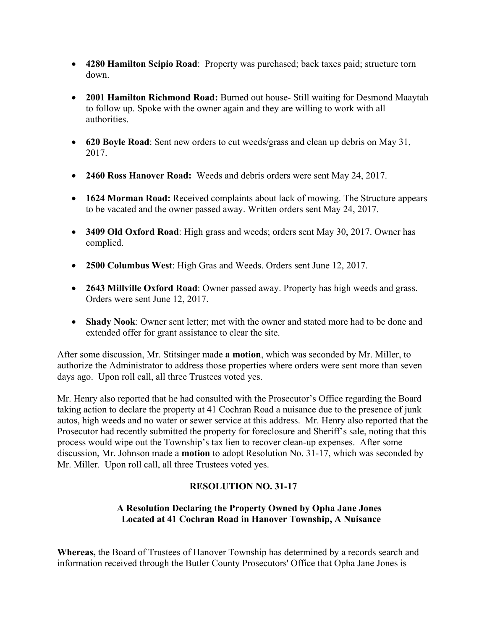- **4280 Hamilton Scipio Road**: Property was purchased; back taxes paid; structure torn down.
- **2001 Hamilton Richmond Road:** Burned out house- Still waiting for Desmond Maaytah to follow up. Spoke with the owner again and they are willing to work with all authorities.
- **620 Boyle Road**: Sent new orders to cut weeds/grass and clean up debris on May 31, 2017.
- **2460 Ross Hanover Road:** Weeds and debris orders were sent May 24, 2017.
- **1624 Morman Road:** Received complaints about lack of mowing. The Structure appears to be vacated and the owner passed away. Written orders sent May 24, 2017.
- **3409 Old Oxford Road**: High grass and weeds; orders sent May 30, 2017. Owner has complied.
- **2500 Columbus West**: High Gras and Weeds. Orders sent June 12, 2017.
- **2643 Millville Oxford Road**: Owner passed away. Property has high weeds and grass. Orders were sent June 12, 2017.
- **Shady Nook**: Owner sent letter; met with the owner and stated more had to be done and extended offer for grant assistance to clear the site.

After some discussion, Mr. Stitsinger made **a motion**, which was seconded by Mr. Miller, to authorize the Administrator to address those properties where orders were sent more than seven days ago. Upon roll call, all three Trustees voted yes.

Mr. Henry also reported that he had consulted with the Prosecutor's Office regarding the Board taking action to declare the property at 41 Cochran Road a nuisance due to the presence of junk autos, high weeds and no water or sewer service at this address. Mr. Henry also reported that the Prosecutor had recently submitted the property for foreclosure and Sheriff's sale, noting that this process would wipe out the Township's tax lien to recover clean-up expenses. After some discussion, Mr. Johnson made a **motion** to adopt Resolution No. 31-17, which was seconded by Mr. Miller. Upon roll call, all three Trustees voted yes.

# **RESOLUTION NO. 31-17**

# **A Resolution Declaring the Property Owned by Opha Jane Jones Located at 41 Cochran Road in Hanover Township, A Nuisance**

**Whereas,** the Board of Trustees of Hanover Township has determined by a records search and information received through the Butler County Prosecutors' Office that Opha Jane Jones is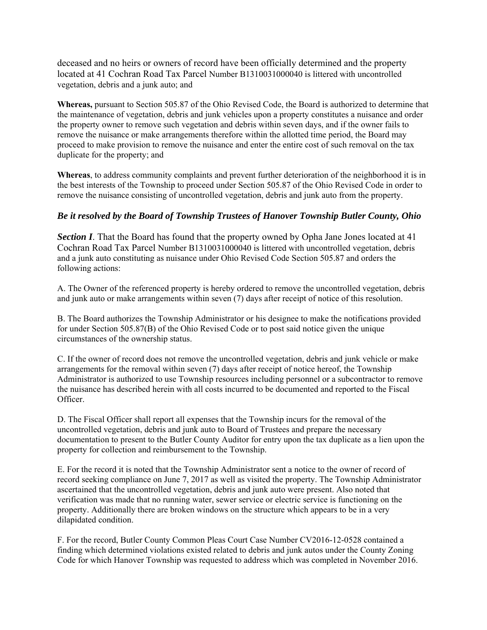deceased and no heirs or owners of record have been officially determined and the property located at 41 Cochran Road Tax Parcel Number B1310031000040 is littered with uncontrolled vegetation, debris and a junk auto; and

**Whereas,** pursuant to Section 505.87 of the Ohio Revised Code, the Board is authorized to determine that the maintenance of vegetation, debris and junk vehicles upon a property constitutes a nuisance and order the property owner to remove such vegetation and debris within seven days, and if the owner fails to remove the nuisance or make arrangements therefore within the allotted time period, the Board may proceed to make provision to remove the nuisance and enter the entire cost of such removal on the tax duplicate for the property; and

**Whereas**, to address community complaints and prevent further deterioration of the neighborhood it is in the best interests of the Township to proceed under Section 505.87 of the Ohio Revised Code in order to remove the nuisance consisting of uncontrolled vegetation, debris and junk auto from the property.

## *Be it resolved by the Board of Township Trustees of Hanover Township Butler County, Ohio*

**Section I**. That the Board has found that the property owned by Opha Jane Jones located at 41 Cochran Road Tax Parcel Number B1310031000040 is littered with uncontrolled vegetation, debris and a junk auto constituting as nuisance under Ohio Revised Code Section 505.87 and orders the following actions:

A. The Owner of the referenced property is hereby ordered to remove the uncontrolled vegetation, debris and junk auto or make arrangements within seven (7) days after receipt of notice of this resolution.

B. The Board authorizes the Township Administrator or his designee to make the notifications provided for under Section 505.87(B) of the Ohio Revised Code or to post said notice given the unique circumstances of the ownership status.

C. If the owner of record does not remove the uncontrolled vegetation, debris and junk vehicle or make arrangements for the removal within seven (7) days after receipt of notice hereof, the Township Administrator is authorized to use Township resources including personnel or a subcontractor to remove the nuisance has described herein with all costs incurred to be documented and reported to the Fiscal Officer.

D. The Fiscal Officer shall report all expenses that the Township incurs for the removal of the uncontrolled vegetation, debris and junk auto to Board of Trustees and prepare the necessary documentation to present to the Butler County Auditor for entry upon the tax duplicate as a lien upon the property for collection and reimbursement to the Township.

E. For the record it is noted that the Township Administrator sent a notice to the owner of record of record seeking compliance on June 7, 2017 as well as visited the property. The Township Administrator ascertained that the uncontrolled vegetation, debris and junk auto were present. Also noted that verification was made that no running water, sewer service or electric service is functioning on the property. Additionally there are broken windows on the structure which appears to be in a very dilapidated condition.

F. For the record, Butler County Common Pleas Court Case Number CV2016-12-0528 contained a finding which determined violations existed related to debris and junk autos under the County Zoning Code for which Hanover Township was requested to address which was completed in November 2016.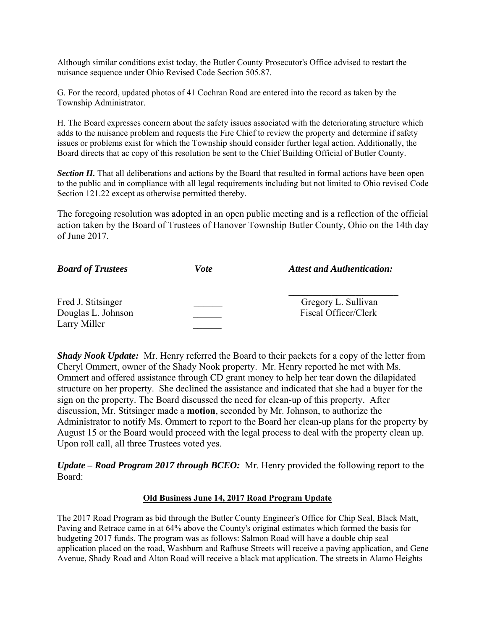Although similar conditions exist today, the Butler County Prosecutor's Office advised to restart the nuisance sequence under Ohio Revised Code Section 505.87.

G. For the record, updated photos of 41 Cochran Road are entered into the record as taken by the Township Administrator.

H. The Board expresses concern about the safety issues associated with the deteriorating structure which adds to the nuisance problem and requests the Fire Chief to review the property and determine if safety issues or problems exist for which the Township should consider further legal action. Additionally, the Board directs that ac copy of this resolution be sent to the Chief Building Official of Butler County.

*Section II.* That all deliberations and actions by the Board that resulted in formal actions have been open to the public and in compliance with all legal requirements including but not limited to Ohio revised Code Section 121.22 except as otherwise permitted thereby.

The foregoing resolution was adopted in an open public meeting and is a reflection of the official action taken by the Board of Trustees of Hanover Township Butler County, Ohio on the 14th day of June 2017.

| <b>Board of Trustees</b>                                 | Vote | <b>Attest and Authentication:</b>           |  |
|----------------------------------------------------------|------|---------------------------------------------|--|
| Fred J. Stitsinger<br>Douglas L. Johnson<br>Larry Miller |      | Gregory L. Sullivan<br>Fiscal Officer/Clerk |  |

*Shady Nook Update:* Mr. Henry referred the Board to their packets for a copy of the letter from Cheryl Ommert, owner of the Shady Nook property. Mr. Henry reported he met with Ms. Ommert and offered assistance through CD grant money to help her tear down the dilapidated structure on her property. She declined the assistance and indicated that she had a buyer for the sign on the property. The Board discussed the need for clean-up of this property. After discussion, Mr. Stitsinger made a **motion**, seconded by Mr. Johnson, to authorize the Administrator to notify Ms. Ommert to report to the Board her clean-up plans for the property by August 15 or the Board would proceed with the legal process to deal with the property clean up. Upon roll call, all three Trustees voted yes.

*Update – Road Program 2017 through BCEO:* Mr. Henry provided the following report to the Board:

### **Old Business June 14, 2017 Road Program Update**

The 2017 Road Program as bid through the Butler County Engineer's Office for Chip Seal, Black Matt, Paving and Retrace came in at 64% above the County's original estimates which formed the basis for budgeting 2017 funds. The program was as follows: Salmon Road will have a double chip seal application placed on the road, Washburn and Rafhuse Streets will receive a paving application, and Gene Avenue, Shady Road and Alton Road will receive a black mat application. The streets in Alamo Heights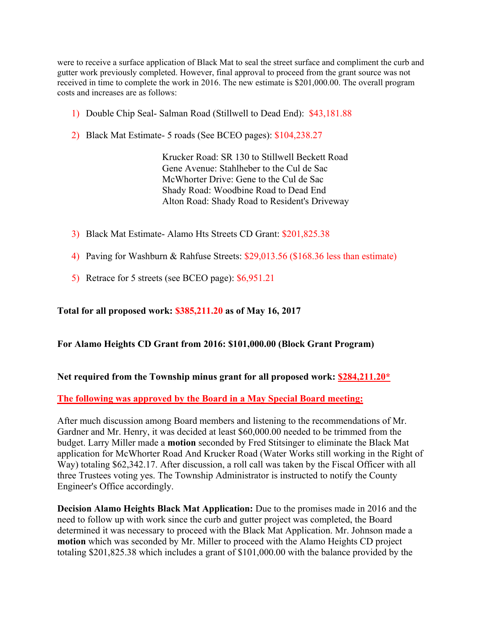were to receive a surface application of Black Mat to seal the street surface and compliment the curb and gutter work previously completed. However, final approval to proceed from the grant source was not received in time to complete the work in 2016. The new estimate is \$201,000.00. The overall program costs and increases are as follows:

- 1) Double Chip Seal- Salman Road (Stillwell to Dead End): \$43,181.88
- 2) Black Mat Estimate- 5 roads (See BCEO pages): \$104,238.27

 Krucker Road: SR 130 to Stillwell Beckett Road Gene Avenue: Stahlheber to the Cul de Sac McWhorter Drive: Gene to the Cul de Sac Shady Road: Woodbine Road to Dead End Alton Road: Shady Road to Resident's Driveway

- 3) Black Mat Estimate- Alamo Hts Streets CD Grant: \$201,825.38
- 4) Paving for Washburn & Rahfuse Streets: \$29,013.56 (\$168.36 less than estimate)
- 5) Retrace for 5 streets (see BCEO page): \$6,951.21

## **Total for all proposed work: \$385,211.20 as of May 16, 2017**

## **For Alamo Heights CD Grant from 2016: \$101,000.00 (Block Grant Program)**

## **Net required from the Township minus grant for all proposed work: \$284,211.20\***

## **The following was approved by the Board in a May Special Board meeting:**

After much discussion among Board members and listening to the recommendations of Mr. Gardner and Mr. Henry, it was decided at least \$60,000.00 needed to be trimmed from the budget. Larry Miller made a **motion** seconded by Fred Stitsinger to eliminate the Black Mat application for McWhorter Road And Krucker Road (Water Works still working in the Right of Way) totaling \$62,342.17. After discussion, a roll call was taken by the Fiscal Officer with all three Trustees voting yes. The Township Administrator is instructed to notify the County Engineer's Office accordingly.

**Decision Alamo Heights Black Mat Application:** Due to the promises made in 2016 and the need to follow up with work since the curb and gutter project was completed, the Board determined it was necessary to proceed with the Black Mat Application. Mr. Johnson made a **motion** which was seconded by Mr. Miller to proceed with the Alamo Heights CD project totaling \$201,825.38 which includes a grant of \$101,000.00 with the balance provided by the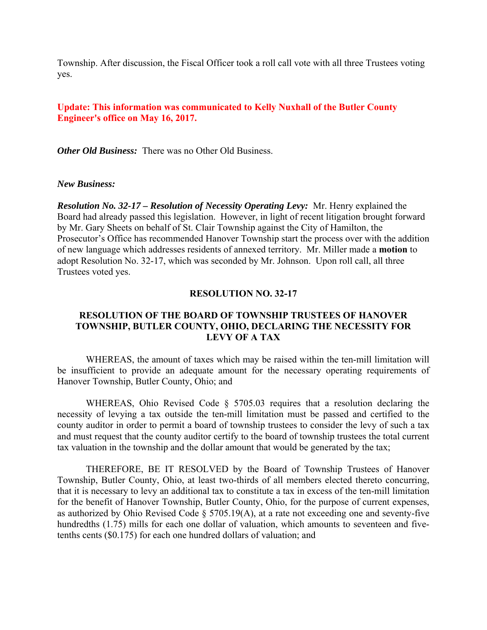Township. After discussion, the Fiscal Officer took a roll call vote with all three Trustees voting yes.

## **Update: This information was communicated to Kelly Nuxhall of the Butler County Engineer's office on May 16, 2017.**

*Other Old Business:* There was no Other Old Business.

### *New Business:*

*Resolution No. 32-17 – Resolution of Necessity Operating Levy:* Mr. Henry explained the Board had already passed this legislation. However, in light of recent litigation brought forward by Mr. Gary Sheets on behalf of St. Clair Township against the City of Hamilton, the Prosecutor's Office has recommended Hanover Township start the process over with the addition of new language which addresses residents of annexed territory. Mr. Miller made a **motion** to adopt Resolution No. 32-17, which was seconded by Mr. Johnson. Upon roll call, all three Trustees voted yes.

### **RESOLUTION NO. 32-17**

## **RESOLUTION OF THE BOARD OF TOWNSHIP TRUSTEES OF HANOVER TOWNSHIP, BUTLER COUNTY, OHIO, DECLARING THE NECESSITY FOR LEVY OF A TAX**

 WHEREAS, the amount of taxes which may be raised within the ten-mill limitation will be insufficient to provide an adequate amount for the necessary operating requirements of Hanover Township, Butler County, Ohio; and

WHEREAS, Ohio Revised Code § 5705.03 requires that a resolution declaring the necessity of levying a tax outside the ten-mill limitation must be passed and certified to the county auditor in order to permit a board of township trustees to consider the levy of such a tax and must request that the county auditor certify to the board of township trustees the total current tax valuation in the township and the dollar amount that would be generated by the tax;

 THEREFORE, BE IT RESOLVED by the Board of Township Trustees of Hanover Township, Butler County, Ohio, at least two-thirds of all members elected thereto concurring, that it is necessary to levy an additional tax to constitute a tax in excess of the ten-mill limitation for the benefit of Hanover Township, Butler County, Ohio, for the purpose of current expenses, as authorized by Ohio Revised Code § 5705.19(A), at a rate not exceeding one and seventy-five hundredths (1.75) mills for each one dollar of valuation, which amounts to seventeen and fivetenths cents (\$0.175) for each one hundred dollars of valuation; and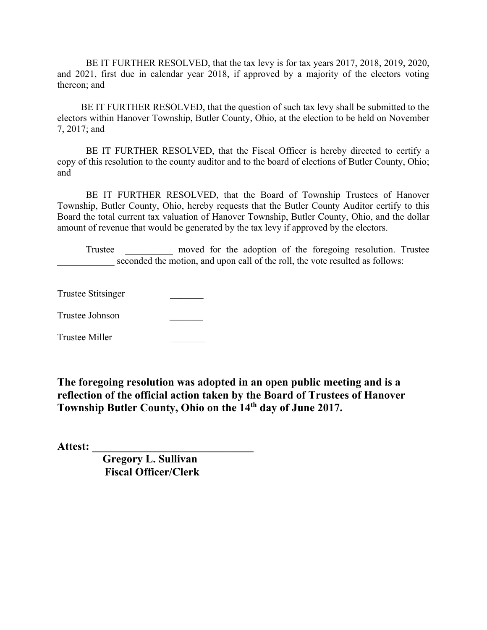BE IT FURTHER RESOLVED, that the tax levy is for tax years 2017, 2018, 2019, 2020, and 2021, first due in calendar year 2018, if approved by a majority of the electors voting thereon; and

 BE IT FURTHER RESOLVED, that the question of such tax levy shall be submitted to the electors within Hanover Township, Butler County, Ohio, at the election to be held on November 7, 2017; and

 BE IT FURTHER RESOLVED, that the Fiscal Officer is hereby directed to certify a copy of this resolution to the county auditor and to the board of elections of Butler County, Ohio; and

 BE IT FURTHER RESOLVED, that the Board of Township Trustees of Hanover Township, Butler County, Ohio, hereby requests that the Butler County Auditor certify to this Board the total current tax valuation of Hanover Township, Butler County, Ohio, and the dollar amount of revenue that would be generated by the tax levy if approved by the electors.

Trustee moved for the adoption of the foregoing resolution. Trustee seconded the motion, and upon call of the roll, the vote resulted as follows:

Trustee Stitsinger \_\_\_\_\_\_\_

Trustee Johnson \_\_\_\_\_\_\_

Trustee Miller \_\_\_\_\_\_\_

**The foregoing resolution was adopted in an open public meeting and is a reflection of the official action taken by the Board of Trustees of Hanover Township Butler County, Ohio on the 14th day of June 2017.** 

**Attest: \_\_\_\_\_\_\_\_\_\_\_\_\_\_\_\_\_\_\_\_\_\_\_\_\_\_\_\_\_** 

 **Gregory L. Sullivan Fiscal Officer/Clerk**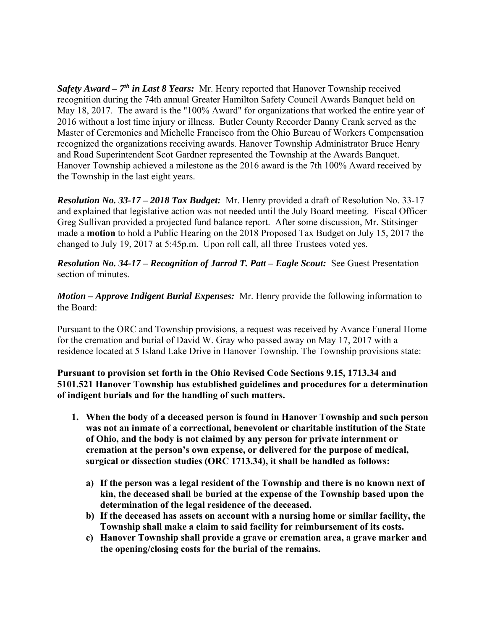*Safety Award – 7th in Last 8 Years:* Mr. Henry reported that Hanover Township received recognition during the 74th annual Greater Hamilton Safety Council Awards Banquet held on May 18, 2017. The award is the "100% Award" for organizations that worked the entire year of 2016 without a lost time injury or illness. Butler County Recorder Danny Crank served as the Master of Ceremonies and Michelle Francisco from the Ohio Bureau of Workers Compensation recognized the organizations receiving awards. Hanover Township Administrator Bruce Henry and Road Superintendent Scot Gardner represented the Township at the Awards Banquet. Hanover Township achieved a milestone as the 2016 award is the 7th 100% Award received by the Township in the last eight years.

*Resolution No. 33-17 – 2018 Tax Budget:* Mr. Henry provided a draft of Resolution No. 33-17 and explained that legislative action was not needed until the July Board meeting. Fiscal Officer Greg Sullivan provided a projected fund balance report. After some discussion, Mr. Stitsinger made a **motion** to hold a Public Hearing on the 2018 Proposed Tax Budget on July 15, 2017 the changed to July 19, 2017 at 5:45p.m. Upon roll call, all three Trustees voted yes.

*Resolution No. 34-17 – Recognition of Jarrod T. Patt – Eagle Scout:* See Guest Presentation section of minutes.

*Motion – Approve Indigent Burial Expenses:* Mr. Henry provide the following information to the Board:

Pursuant to the ORC and Township provisions, a request was received by Avance Funeral Home for the cremation and burial of David W. Gray who passed away on May 17, 2017 with a residence located at 5 Island Lake Drive in Hanover Township. The Township provisions state:

**Pursuant to provision set forth in the Ohio Revised Code Sections 9.15, 1713.34 and 5101.521 Hanover Township has established guidelines and procedures for a determination of indigent burials and for the handling of such matters.** 

- **1. When the body of a deceased person is found in Hanover Township and such person was not an inmate of a correctional, benevolent or charitable institution of the State of Ohio, and the body is not claimed by any person for private internment or cremation at the person's own expense, or delivered for the purpose of medical, surgical or dissection studies (ORC 1713.34), it shall be handled as follows:** 
	- **a) If the person was a legal resident of the Township and there is no known next of kin, the deceased shall be buried at the expense of the Township based upon the determination of the legal residence of the deceased.**
	- **b) If the deceased has assets on account with a nursing home or similar facility, the Township shall make a claim to said facility for reimbursement of its costs.**
	- **c) Hanover Township shall provide a grave or cremation area, a grave marker and the opening/closing costs for the burial of the remains.**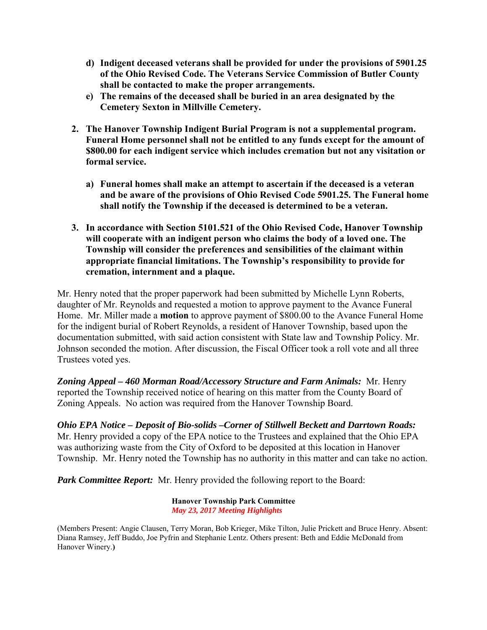- **d) Indigent deceased veterans shall be provided for under the provisions of 5901.25 of the Ohio Revised Code. The Veterans Service Commission of Butler County shall be contacted to make the proper arrangements.**
- **e) The remains of the deceased shall be buried in an area designated by the Cemetery Sexton in Millville Cemetery.**
- **2. The Hanover Township Indigent Burial Program is not a supplemental program. Funeral Home personnel shall not be entitled to any funds except for the amount of \$800.00 for each indigent service which includes cremation but not any visitation or formal service.** 
	- **a) Funeral homes shall make an attempt to ascertain if the deceased is a veteran and be aware of the provisions of Ohio Revised Code 5901.25. The Funeral home shall notify the Township if the deceased is determined to be a veteran.**
- **3. In accordance with Section 5101.521 of the Ohio Revised Code, Hanover Township will cooperate with an indigent person who claims the body of a loved one. The Township will consider the preferences and sensibilities of the claimant within appropriate financial limitations. The Township's responsibility to provide for cremation, internment and a plaque.**

Mr. Henry noted that the proper paperwork had been submitted by Michelle Lynn Roberts, daughter of Mr. Reynolds and requested a motion to approve payment to the Avance Funeral Home. Mr. Miller made a **motion** to approve payment of \$800.00 to the Avance Funeral Home for the indigent burial of Robert Reynolds, a resident of Hanover Township, based upon the documentation submitted, with said action consistent with State law and Township Policy. Mr. Johnson seconded the motion. After discussion, the Fiscal Officer took a roll vote and all three Trustees voted yes.

*Zoning Appeal – 460 Morman Road/Accessory Structure and Farm Animals:* Mr. Henry reported the Township received notice of hearing on this matter from the County Board of Zoning Appeals. No action was required from the Hanover Township Board.

*Ohio EPA Notice – Deposit of Bio-solids –Corner of Stillwell Beckett and Darrtown Roads:* Mr. Henry provided a copy of the EPA notice to the Trustees and explained that the Ohio EPA was authorizing waste from the City of Oxford to be deposited at this location in Hanover Township. Mr. Henry noted the Township has no authority in this matter and can take no action.

*Park Committee Report:* Mr. Henry provided the following report to the Board:

**Hanover Township Park Committee**   *May 23, 2017 Meeting Highlights* 

<sup>(</sup>Members Present: Angie Clausen, Terry Moran, Bob Krieger, Mike Tilton, Julie Prickett and Bruce Henry. Absent: Diana Ramsey, Jeff Buddo, Joe Pyfrin and Stephanie Lentz. Others present: Beth and Eddie McDonald from Hanover Winery.**)**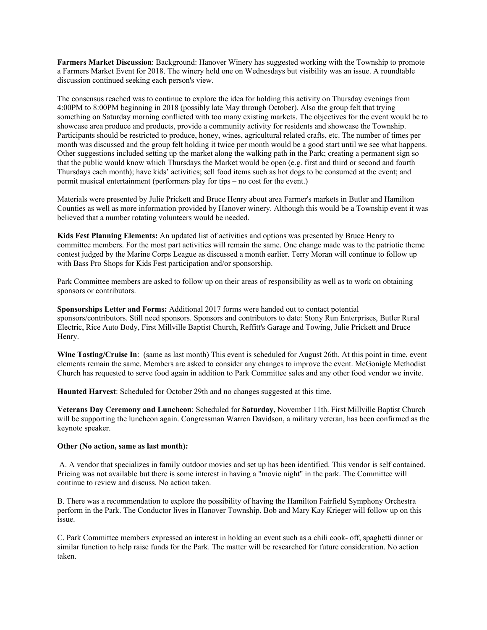**Farmers Market Discussion**: Background: Hanover Winery has suggested working with the Township to promote a Farmers Market Event for 2018. The winery held one on Wednesdays but visibility was an issue. A roundtable discussion continued seeking each person's view.

The consensus reached was to continue to explore the idea for holding this activity on Thursday evenings from 4:00PM to 8:00PM beginning in 2018 (possibly late May through October). Also the group felt that trying something on Saturday morning conflicted with too many existing markets. The objectives for the event would be to showcase area produce and products, provide a community activity for residents and showcase the Township. Participants should be restricted to produce, honey, wines, agricultural related crafts, etc. The number of times per month was discussed and the group felt holding it twice per month would be a good start until we see what happens. Other suggestions included setting up the market along the walking path in the Park; creating a permanent sign so that the public would know which Thursdays the Market would be open (e.g. first and third or second and fourth Thursdays each month); have kids' activities; sell food items such as hot dogs to be consumed at the event; and permit musical entertainment (performers play for tips – no cost for the event.)

Materials were presented by Julie Prickett and Bruce Henry about area Farmer's markets in Butler and Hamilton Counties as well as more information provided by Hanover winery. Although this would be a Township event it was believed that a number rotating volunteers would be needed.

**Kids Fest Planning Elements:** An updated list of activities and options was presented by Bruce Henry to committee members. For the most part activities will remain the same. One change made was to the patriotic theme contest judged by the Marine Corps League as discussed a month earlier. Terry Moran will continue to follow up with Bass Pro Shops for Kids Fest participation and/or sponsorship.

Park Committee members are asked to follow up on their areas of responsibility as well as to work on obtaining sponsors or contributors.

**Sponsorships Letter and Forms:** Additional 2017 forms were handed out to contact potential sponsors/contributors. Still need sponsors. Sponsors and contributors to date: Stony Run Enterprises, Butler Rural Electric, Rice Auto Body, First Millville Baptist Church, Reffitt's Garage and Towing, Julie Prickett and Bruce Henry.

**Wine Tasting/Cruise In:** (same as last month) This event is scheduled for August 26th. At this point in time, event elements remain the same. Members are asked to consider any changes to improve the event. McGonigle Methodist Church has requested to serve food again in addition to Park Committee sales and any other food vendor we invite.

**Haunted Harvest**: Scheduled for October 29th and no changes suggested at this time.

**Veterans Day Ceremony and Luncheon**: Scheduled for **Saturday,** November 11th. First Millville Baptist Church will be supporting the luncheon again. Congressman Warren Davidson, a military veteran, has been confirmed as the keynote speaker.

### **Other (No action, same as last month):**

 A. A vendor that specializes in family outdoor movies and set up has been identified. This vendor is self contained. Pricing was not available but there is some interest in having a "movie night" in the park. The Committee will continue to review and discuss. No action taken.

B. There was a recommendation to explore the possibility of having the Hamilton Fairfield Symphony Orchestra perform in the Park. The Conductor lives in Hanover Township. Bob and Mary Kay Krieger will follow up on this issue.

C. Park Committee members expressed an interest in holding an event such as a chili cook- off, spaghetti dinner or similar function to help raise funds for the Park. The matter will be researched for future consideration. No action taken.